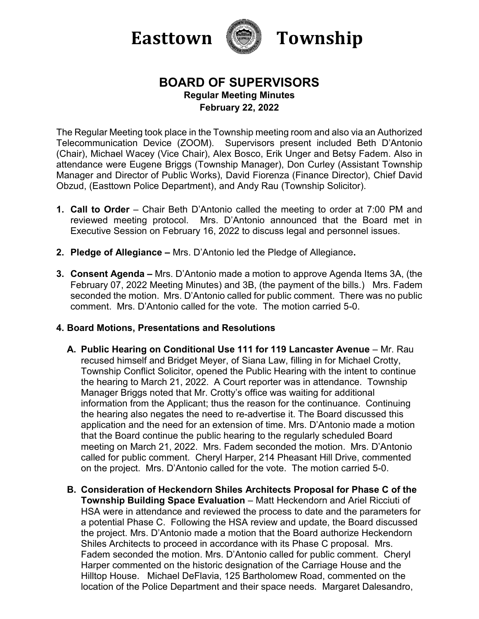



# **BOARD OF SUPERVISORS Regular Meeting Minutes February 22, 2022**

The Regular Meeting took place in the Township meeting room and also via an Authorized Telecommunication Device (ZOOM). Supervisors present included Beth D'Antonio (Chair), Michael Wacey (Vice Chair), Alex Bosco, Erik Unger and Betsy Fadem. Also in attendance were Eugene Briggs (Township Manager), Don Curley (Assistant Township Manager and Director of Public Works), David Fiorenza (Finance Director), Chief David Obzud, (Easttown Police Department), and Andy Rau (Township Solicitor).

- **1. Call to Order**  Chair Beth D'Antonio called the meeting to order at 7:00 PM and reviewed meeting protocol. Mrs. D'Antonio announced that the Board met in Executive Session on February 16, 2022 to discuss legal and personnel issues.
- **2. Pledge of Allegiance –** Mrs. D'Antonio led the Pledge of Allegiance**.**
- **3. Consent Agenda –** Mrs. D'Antonio made a motion to approve Agenda Items 3A, (the February 07, 2022 Meeting Minutes) and 3B, (the payment of the bills.)Mrs. Fadem seconded the motion. Mrs. D'Antonio called for public comment. There was no public comment. Mrs. D'Antonio called for the vote. The motion carried 5-0.

### **4. Board Motions, Presentations and Resolutions**

- **A. Public Hearing on Conditional Use 111 for 119 Lancaster Avenue**  Mr. Rau recused himself and Bridget Meyer, of Siana Law, filling in for Michael Crotty, Township Conflict Solicitor, opened the Public Hearing with the intent to continue the hearing to March 21, 2022. A Court reporter was in attendance. Township Manager Briggs noted that Mr. Crotty's office was waiting for additional information from the Applicant; thus the reason for the continuance. Continuing the hearing also negates the need to re-advertise it. The Board discussed this application and the need for an extension of time. Mrs. D'Antonio made a motion that the Board continue the public hearing to the regularly scheduled Board meeting on March 21, 2022. Mrs. Fadem seconded the motion. Mrs. D'Antonio called for public comment. Cheryl Harper, 214 Pheasant Hill Drive, commented on the project. Mrs. D'Antonio called for the vote. The motion carried 5-0.
- **B. Consideration of Heckendorn Shiles Architects Proposal for Phase C of the Township Building Space Evaluation** – Matt Heckendorn and Ariel Ricciuti of HSA were in attendance and reviewed the process to date and the parameters for a potential Phase C. Following the HSA review and update, the Board discussed the project. Mrs. D'Antonio made a motion that the Board authorize Heckendorn Shiles Architects to proceed in accordance with its Phase C proposal. Mrs. Fadem seconded the motion. Mrs. D'Antonio called for public comment. Cheryl Harper commented on the historic designation of the Carriage House and the Hilltop House. Michael DeFlavia, 125 Bartholomew Road, commented on the location of the Police Department and their space needs. Margaret Dalesandro,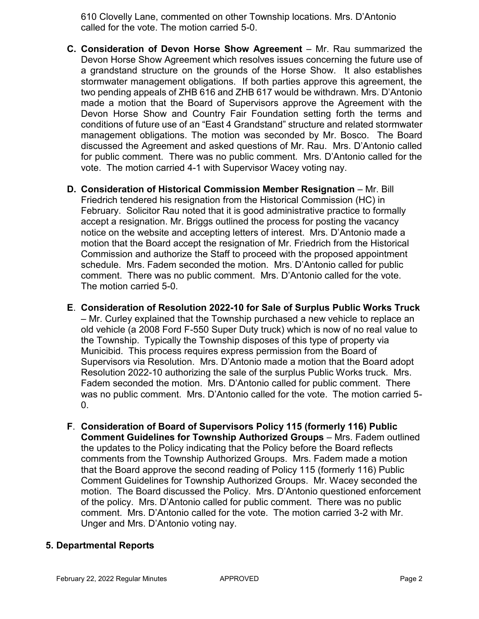610 Clovelly Lane, commented on other Township locations. Mrs. D'Antonio called for the vote. The motion carried 5-0.

- **C. Consideration of Devon Horse Show Agreement** Mr. Rau summarized the Devon Horse Show Agreement which resolves issues concerning the future use of a grandstand structure on the grounds of the Horse Show. It also establishes stormwater management obligations. If both parties approve this agreement, the two pending appeals of ZHB 616 and ZHB 617 would be withdrawn. Mrs. D'Antonio made a motion that the Board of Supervisors approve the Agreement with the Devon Horse Show and Country Fair Foundation setting forth the terms and conditions of future use of an "East 4 Grandstand" structure and related stormwater management obligations. The motion was seconded by Mr. Bosco. The Board discussed the Agreement and asked questions of Mr. Rau. Mrs. D'Antonio called for public comment. There was no public comment. Mrs. D'Antonio called for the vote. The motion carried 4-1 with Supervisor Wacey voting nay.
- **D. Consideration of Historical Commission Member Resignation Mr. Bill** Friedrich tendered his resignation from the Historical Commission (HC) in February. Solicitor Rau noted that it is good administrative practice to formally accept a resignation. Mr. Briggs outlined the process for posting the vacancy notice on the website and accepting letters of interest. Mrs. D'Antonio made a motion that the Board accept the resignation of Mr. Friedrich from the Historical Commission and authorize the Staff to proceed with the proposed appointment schedule. Mrs. Fadem seconded the motion. Mrs. D'Antonio called for public comment. There was no public comment. Mrs. D'Antonio called for the vote. The motion carried 5-0.
- **E**. **Consideration of Resolution 2022-10 for Sale of Surplus Public Works Truck** – Mr. Curley explained that the Township purchased a new vehicle to replace an old vehicle (a 2008 Ford F-550 Super Duty truck) which is now of no real value to the Township. Typically the Township disposes of this type of property via Municibid. This process requires express permission from the Board of Supervisors via Resolution. Mrs. D'Antonio made a motion that the Board adopt Resolution 2022-10 authorizing the sale of the surplus Public Works truck. Mrs. Fadem seconded the motion. Mrs. D'Antonio called for public comment. There was no public comment. Mrs. D'Antonio called for the vote. The motion carried 5-  $\mathbf{0}$ .
- **F**. **Consideration of Board of Supervisors Policy 115 (formerly 116) Public Comment Guidelines for Township Authorized Groups** – Mrs. Fadem outlined the updates to the Policy indicating that the Policy before the Board reflects comments from the Township Authorized Groups. Mrs. Fadem made a motion that the Board approve the second reading of Policy 115 (formerly 116) Public Comment Guidelines for Township Authorized Groups. Mr. Wacey seconded the motion. The Board discussed the Policy. Mrs. D'Antonio questioned enforcement of the policy. Mrs. D'Antonio called for public comment. There was no public comment. Mrs. D'Antonio called for the vote. The motion carried 3-2 with Mr. Unger and Mrs. D'Antonio voting nay.

### **5. Departmental Reports**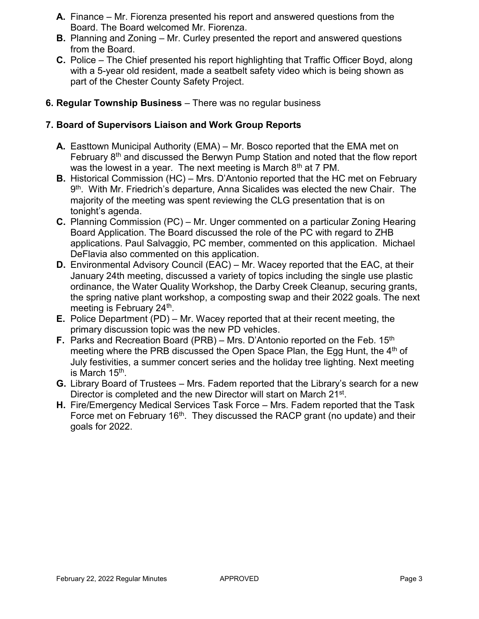- **A.** Finance Mr. Fiorenza presented his report and answered questions from the Board. The Board welcomed Mr. Fiorenza.
- **B.** Planning and Zoning Mr. Curley presented the report and answered questions from the Board.
- **C.** Police The Chief presented his report highlighting that Traffic Officer Boyd, along with a 5-year old resident, made a seatbelt safety video which is being shown as part of the Chester County Safety Project.
- **6. Regular Township Business** There was no regular business

## **7. Board of Supervisors Liaison and Work Group Reports**

- **A.** Easttown Municipal Authority (EMA) Mr. Bosco reported that the EMA met on February 8<sup>th</sup> and discussed the Berwyn Pump Station and noted that the flow report was the lowest in a year. The next meeting is March  $8<sup>th</sup>$  at 7 PM.
- **B.** Historical Commission (HC) Mrs. D'Antonio reported that the HC met on February 9<sup>th</sup>. With Mr. Friedrich's departure, Anna Sicalides was elected the new Chair. The majority of the meeting was spent reviewing the CLG presentation that is on tonight's agenda.
- **C.** Planning Commission (PC) Mr. Unger commented on a particular Zoning Hearing Board Application. The Board discussed the role of the PC with regard to ZHB applications. Paul Salvaggio, PC member, commented on this application. Michael DeFlavia also commented on this application.
- **D.** Environmental Advisory Council (EAC) Mr. Wacey reported that the EAC, at their January 24th meeting, discussed a variety of topics including the single use plastic ordinance, the Water Quality Workshop, the Darby Creek Cleanup, securing grants, the spring native plant workshop, a composting swap and their 2022 goals. The next meeting is February 24<sup>th</sup>.
- **E.** Police Department (PD) Mr. Wacey reported that at their recent meeting, the primary discussion topic was the new PD vehicles.
- **F.** Parks and Recreation Board (PRB) Mrs. D'Antonio reported on the Feb. 15<sup>th</sup> meeting where the PRB discussed the Open Space Plan, the Egg Hunt, the  $4<sup>th</sup>$  of July festivities, a summer concert series and the holiday tree lighting. Next meeting is March 15<sup>th</sup>.
- **G.** Library Board of Trustees Mrs. Fadem reported that the Library's search for a new Director is completed and the new Director will start on March 21<sup>st</sup>.
- **H.** Fire/Emergency Medical Services Task Force Mrs. Fadem reported that the Task Force met on February 16<sup>th</sup>. They discussed the RACP grant (no update) and their goals for 2022.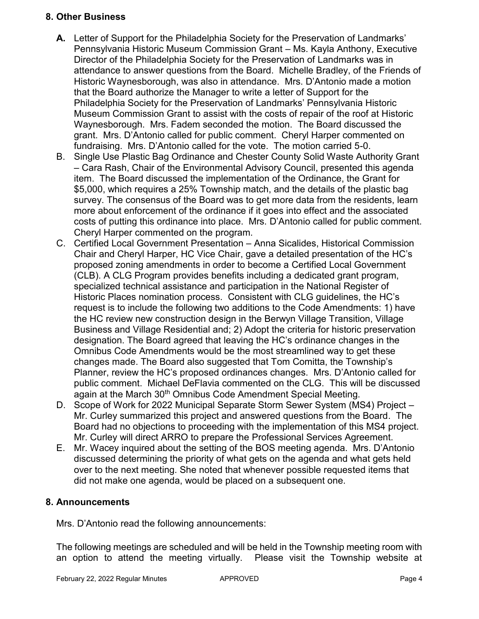### **8. Other Business**

- **A.** Letter of Support for the Philadelphia Society for the Preservation of Landmarks' Pennsylvania Historic Museum Commission Grant – Ms. Kayla Anthony, Executive Director of the Philadelphia Society for the Preservation of Landmarks was in attendance to answer questions from the Board. Michelle Bradley, of the Friends of Historic Waynesborough, was also in attendance. Mrs. D'Antonio made a motion that the Board authorize the Manager to write a letter of Support for the Philadelphia Society for the Preservation of Landmarks' Pennsylvania Historic Museum Commission Grant to assist with the costs of repair of the roof at Historic Waynesborough. Mrs. Fadem seconded the motion. The Board discussed the grant. Mrs. D'Antonio called for public comment. Cheryl Harper commented on fundraising. Mrs. D'Antonio called for the vote. The motion carried 5-0.
- B. Single Use Plastic Bag Ordinance and Chester County Solid Waste Authority Grant – Cara Rash, Chair of the Environmental Advisory Council, presented this agenda item. The Board discussed the implementation of the Ordinance, the Grant for \$5,000, which requires a 25% Township match, and the details of the plastic bag survey. The consensus of the Board was to get more data from the residents, learn more about enforcement of the ordinance if it goes into effect and the associated costs of putting this ordinance into place. Mrs. D'Antonio called for public comment. Cheryl Harper commented on the program.
- C. Certified Local Government Presentation Anna Sicalides, Historical Commission Chair and Cheryl Harper, HC Vice Chair, gave a detailed presentation of the HC's proposed zoning amendments in order to become a Certified Local Government (CLB). A CLG Program provides benefits including a dedicated grant program, specialized technical assistance and participation in the National Register of Historic Places nomination process. Consistent with CLG guidelines, the HC's request is to include the following two additions to the Code Amendments: 1) have the HC review new construction design in the Berwyn Village Transition, Village Business and Village Residential and; 2) Adopt the criteria for historic preservation designation. The Board agreed that leaving the HC's ordinance changes in the Omnibus Code Amendments would be the most streamlined way to get these changes made. The Board also suggested that Tom Comitta, the Township's Planner, review the HC's proposed ordinances changes. Mrs. D'Antonio called for public comment. Michael DeFlavia commented on the CLG. This will be discussed again at the March 30<sup>th</sup> Omnibus Code Amendment Special Meeting.
- D. Scope of Work for 2022 Municipal Separate Storm Sewer System (MS4) Project Mr. Curley summarized this project and answered questions from the Board. The Board had no objections to proceeding with the implementation of this MS4 project. Mr. Curley will direct ARRO to prepare the Professional Services Agreement.
- E. Mr. Wacey inquired about the setting of the BOS meeting agenda. Mrs. D'Antonio discussed determining the priority of what gets on the agenda and what gets held over to the next meeting. She noted that whenever possible requested items that did not make one agenda, would be placed on a subsequent one.

## **8. Announcements**

Mrs. D'Antonio read the following announcements:

The following meetings are scheduled and will be held in the Township meeting room with an option to attend the meeting virtually. Please visit the Township website at